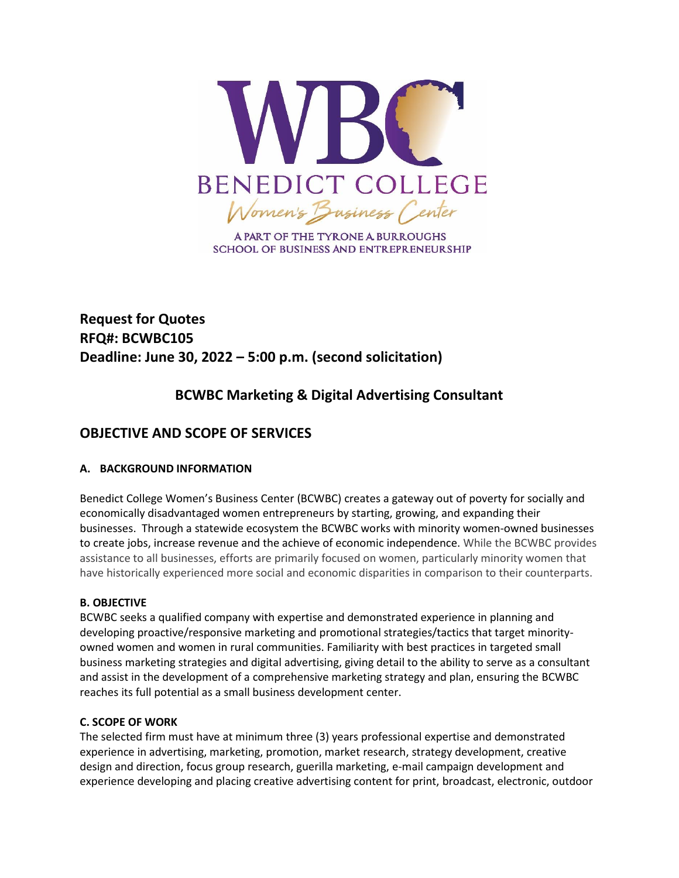

A PART OF THE TYRONE A BURROUGHS **SCHOOL OF BUSINESS AND ENTREPRENEURSHIP** 

# **Request for Quotes RFQ#: BCWBC105 Deadline: June 30, 2022 – 5:00 p.m. (second solicitation)**

## **BCWBC Marketing & Digital Advertising Consultant**

## **OBJECTIVE AND SCOPE OF SERVICES**

## **A. BACKGROUND INFORMATION**

Benedict College Women's Business Center (BCWBC) creates a gateway out of poverty for socially and economically disadvantaged women entrepreneurs by starting, growing, and expanding their businesses. Through a statewide ecosystem the BCWBC works with minority women-owned businesses to create jobs, increase revenue and the achieve of economic independence. While the BCWBC provides assistance to all businesses, efforts are primarily focused on women, particularly minority women that have historically experienced more social and economic disparities in comparison to their counterparts.

## **B. OBJECTIVE**

BCWBC seeks a qualified company with expertise and demonstrated experience in planning and developing proactive/responsive marketing and promotional strategies/tactics that target minorityowned women and women in rural communities. Familiarity with best practices in targeted small business marketing strategies and digital advertising, giving detail to the ability to serve as a consultant and assist in the development of a comprehensive marketing strategy and plan, ensuring the BCWBC reaches its full potential as a small business development center.

## **C. SCOPE OF WORK**

The selected firm must have at minimum three (3) years professional expertise and demonstrated experience in advertising, marketing, promotion, market research, strategy development, creative design and direction, focus group research, guerilla marketing, e-mail campaign development and experience developing and placing creative advertising content for print, broadcast, electronic, outdoor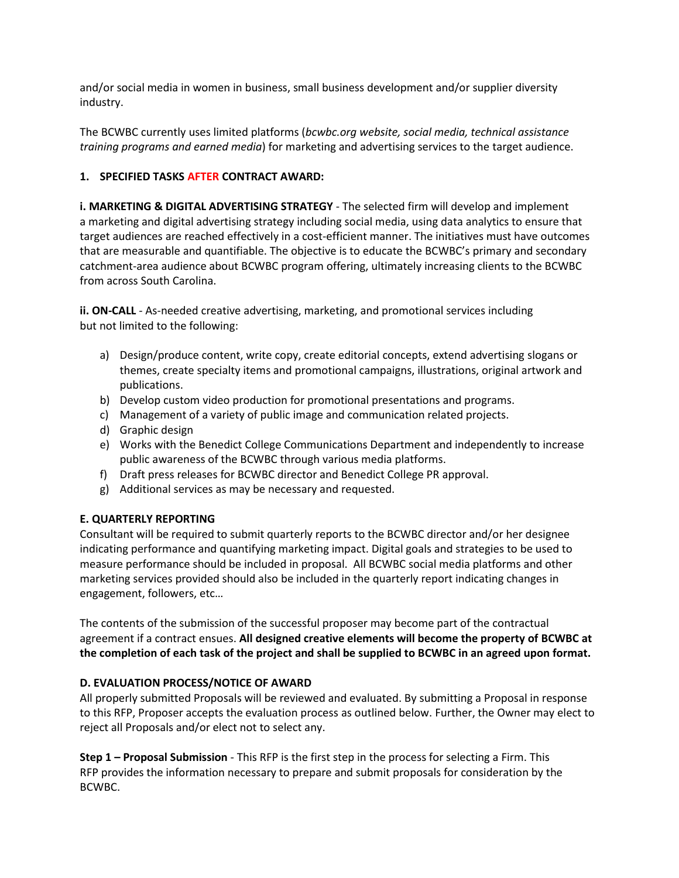and/or social media in women in business, small business development and/or supplier diversity industry.

The BCWBC currently uses limited platforms (*bcwbc.org website, social media, technical assistance training programs and earned media*) for marketing and advertising services to the target audience.

### **1. SPECIFIED TASKS AFTER CONTRACT AWARD:**

**i. MARKETING & DIGITAL ADVERTISING STRATEGY** - The selected firm will develop and implement a marketing and digital advertising strategy including social media, using data analytics to ensure that target audiences are reached effectively in a cost-efficient manner. The initiatives must have outcomes that are measurable and quantifiable. The objective is to educate the BCWBC's primary and secondary catchment-area audience about BCWBC program offering, ultimately increasing clients to the BCWBC from across South Carolina.

**ii. ON-CALL** - As-needed creative advertising, marketing, and promotional services including but not limited to the following:

- a) Design/produce content, write copy, create editorial concepts, extend advertising slogans or themes, create specialty items and promotional campaigns, illustrations, original artwork and publications.
- b) Develop custom video production for promotional presentations and programs.
- c) Management of a variety of public image and communication related projects.
- d) Graphic design
- e) Works with the Benedict College Communications Department and independently to increase public awareness of the BCWBC through various media platforms.
- f) Draft press releases for BCWBC director and Benedict College PR approval.
- g) Additional services as may be necessary and requested.

#### **E. QUARTERLY REPORTING**

Consultant will be required to submit quarterly reports to the BCWBC director and/or her designee indicating performance and quantifying marketing impact. Digital goals and strategies to be used to measure performance should be included in proposal. All BCWBC social media platforms and other marketing services provided should also be included in the quarterly report indicating changes in engagement, followers, etc…

The contents of the submission of the successful proposer may become part of the contractual agreement if a contract ensues. **All designed creative elements will become the property of BCWBC at the completion of each task of the project and shall be supplied to BCWBC in an agreed upon format.** 

#### **D. EVALUATION PROCESS/NOTICE OF AWARD**

All properly submitted Proposals will be reviewed and evaluated. By submitting a Proposal in response to this RFP, Proposer accepts the evaluation process as outlined below. Further, the Owner may elect to reject all Proposals and/or elect not to select any.

**Step 1 – Proposal Submission** - This RFP is the first step in the process for selecting a Firm. This RFP provides the information necessary to prepare and submit proposals for consideration by the BCWBC.